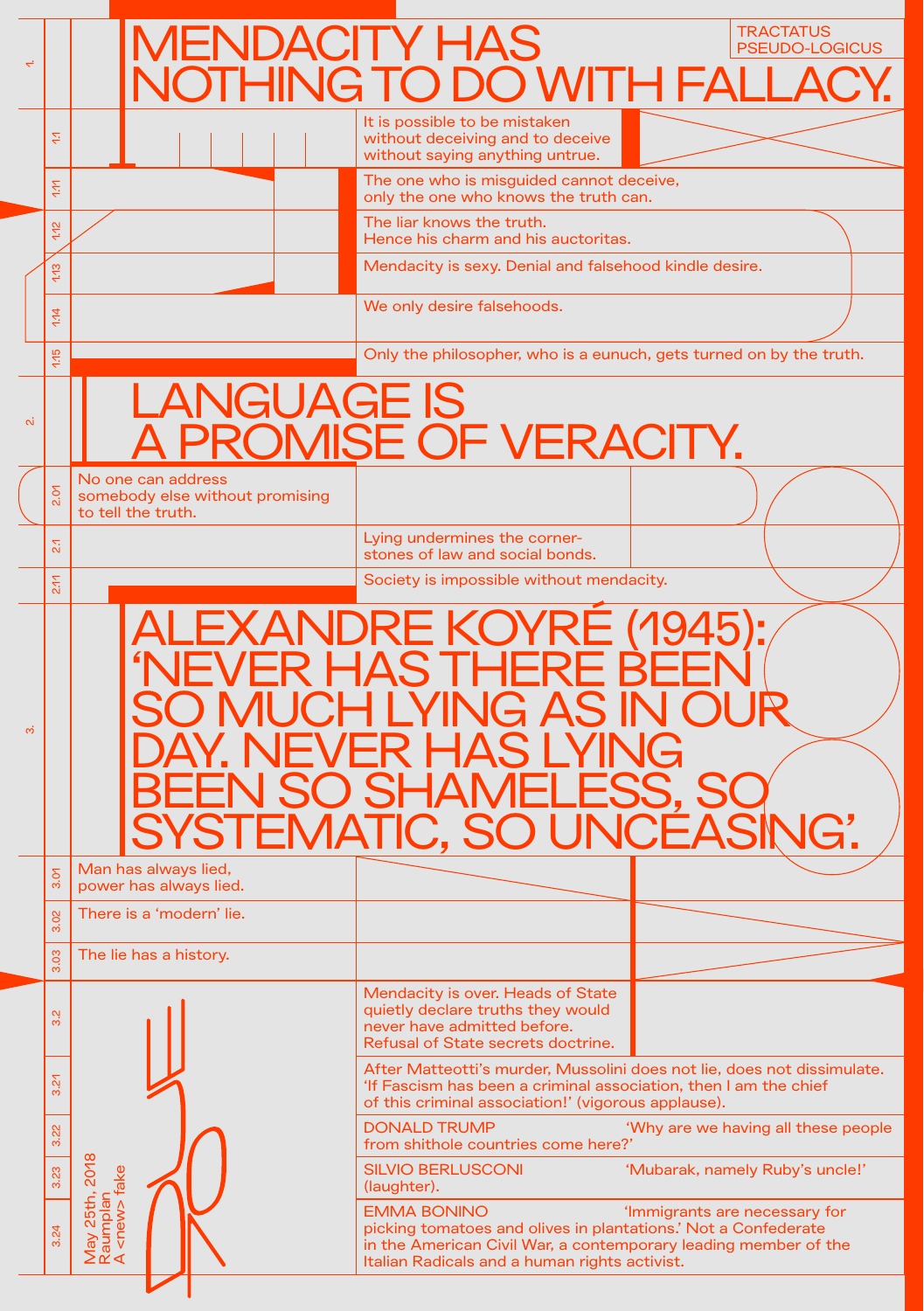|              |                     | <b>MENDACITY HAS</b>                                                        | NOTHING TO DO WITH FALLA                                                                                                                                                                                 | <b>TRACTATUS</b><br><b>PSEUDO-LOGICUS</b> |  |
|--------------|---------------------|-----------------------------------------------------------------------------|----------------------------------------------------------------------------------------------------------------------------------------------------------------------------------------------------------|-------------------------------------------|--|
|              | ŠΡ,                 |                                                                             | It is possible to be mistaken<br>without deceiving and to deceive<br>without saying anything untrue.                                                                                                     |                                           |  |
|              | ξ                   |                                                                             | The one who is misguided cannot deceive,<br>only the one who knows the truth can.                                                                                                                        |                                           |  |
|              | 4.12                |                                                                             | The liar knows the truth.<br>Hence his charm and his auctoritas.                                                                                                                                         |                                           |  |
|              | 1.13                |                                                                             | Mendacity is sexy. Denial and falsehood kindle desire.                                                                                                                                                   |                                           |  |
|              | 1/14                |                                                                             | We only desire falsehoods.                                                                                                                                                                               |                                           |  |
|              | 4.15                |                                                                             | Only the philosopher, who is a eunuch, gets turned on by the truth.                                                                                                                                      |                                           |  |
| $\mathbf{a}$ |                     | <b>LANGUAGE IS</b><br>ROMISE OF VERACITY.                                   |                                                                                                                                                                                                          |                                           |  |
|              | 2.07                | No one can address<br>somebody else without promising<br>to tell the truth. |                                                                                                                                                                                                          |                                           |  |
|              | $\mathbb{Z}$        |                                                                             | Lying undermines the corner-<br>stones of law and social bonds.                                                                                                                                          |                                           |  |
|              | 2.17                |                                                                             | Society is impossible without mendacity.                                                                                                                                                                 |                                           |  |
| <u>ന്</u>    |                     | <u>i Livian In</u>                                                          | <b>ALEXANDRE KOYRE (1945):</b><br><b>'NEVER HAS THERE</b><br>O MUCH LYING AS IN<br>NEVER HAS LI                                                                                                          |                                           |  |
|              | δ<br>က              | Man has always lied,<br>power has always lied.                              |                                                                                                                                                                                                          |                                           |  |
|              | $\frac{1}{2}$<br>ကံ | There is a 'modern' lie.                                                    |                                                                                                                                                                                                          |                                           |  |
|              | 3.03                | The lie has a history.                                                      |                                                                                                                                                                                                          |                                           |  |
|              | 3.2                 |                                                                             | Mendacity is over. Heads of State<br>quietly declare truths they would<br>never have admitted before.<br>Refusal of State secrets doctrine.                                                              |                                           |  |
|              | $\mathcal{L}$<br>က် |                                                                             | After Matteotti's murder, Mussolini does not lie, does not dissimulate.<br>'If Fascism has been a criminal association, then I am the chief<br>of this criminal association!' (vigorous applause).       |                                           |  |
|              | 3.22                |                                                                             | <b>DONALD TRUMP</b><br>from shithole countries come here?'                                                                                                                                               | 'Why are we having all these people       |  |
|              | 3.23                |                                                                             | <b>SILVIO BERLUSCONI</b><br>(laughter).                                                                                                                                                                  | 'Mubarak, namely Ruby's uncle!'           |  |
|              | 3.24                | May 25th, 2018<br>Raumplan<br>A <new> fake</new>                            | <b>EMMA BONINO</b><br>picking tomatoes and olives in plantations.' Not a Confederate<br>in the American Civil War, a contemporary leading member of the<br>Italian Radicals and a human rights activist. | 'Immigrants are necessary for             |  |